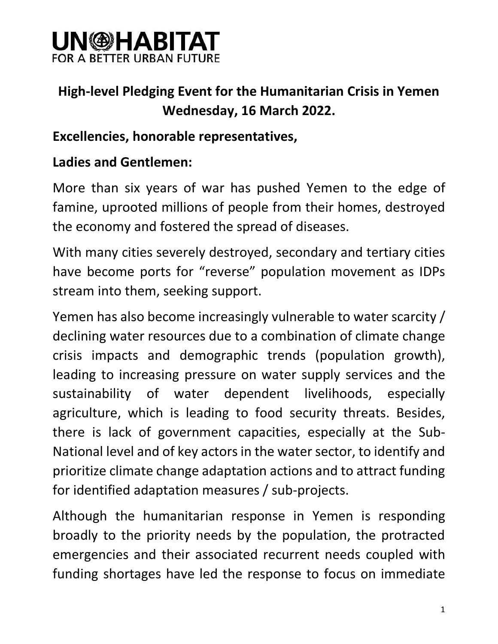### **UN@HABITAT** FOR A BETTER URBAN FUTU

### **High-level Pledging Event for the Humanitarian Crisis in Yemen Wednesday, 16 March 2022.**

#### **Excellencies, honorable representatives,**

### **Ladies and Gentlemen:**

More than six years of war has pushed Yemen to the edge of famine, uprooted millions of people from their homes, destroyed the economy and fostered the spread of diseases.

With many cities severely destroyed, secondary and tertiary cities have become ports for "reverse" population movement as IDPs stream into them, seeking support.

Yemen has also become increasingly vulnerable to water scarcity / declining water resources due to a combination of climate change crisis impacts and demographic trends (population growth), leading to increasing pressure on water supply services and the sustainability of water dependent livelihoods, especially agriculture, which is leading to food security threats. Besides, there is lack of government capacities, especially at the Sub-National level and of key actors in the water sector, to identify and prioritize climate change adaptation actions and to attract funding for identified adaptation measures / sub-projects.

Although the humanitarian response in Yemen is responding broadly to the priority needs by the population, the protracted emergencies and their associated recurrent needs coupled with funding shortages have led the response to focus on immediate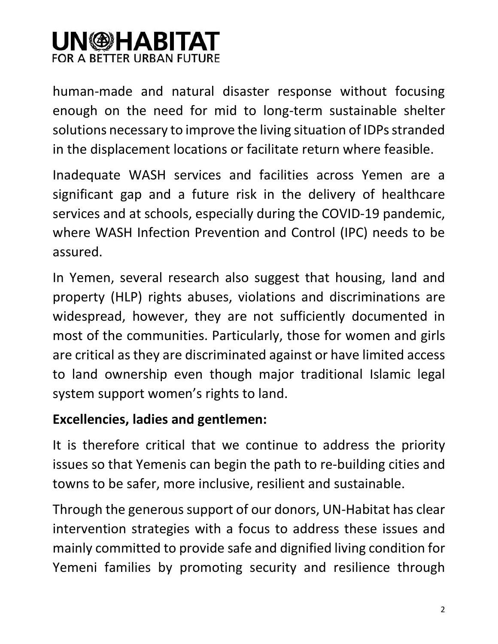# **UN@HABITAT** FOR A BETTER URBAN FUTURE

human-made and natural disaster response without focusing enough on the need for mid to long-term sustainable shelter solutions necessary to improve the living situation of IDPs stranded in the displacement locations or facilitate return where feasible.

Inadequate WASH services and facilities across Yemen are a significant gap and a future risk in the delivery of healthcare services and at schools, especially during the COVID-19 pandemic, where WASH Infection Prevention and Control (IPC) needs to be assured.

In Yemen, several research also suggest that housing, land and property (HLP) rights abuses, violations and discriminations are widespread, however, they are not sufficiently documented in most of the communities. Particularly, those for women and girls are critical as they are discriminated against or have limited access to land ownership even though major traditional Islamic legal system support women's rights to land.

#### **Excellencies, ladies and gentlemen:**

It is therefore critical that we continue to address the priority issues so that Yemenis can begin the path to re-building cities and towns to be safer, more inclusive, resilient and sustainable.

Through the generous support of our donors, UN-Habitat has clear intervention strategies with a focus to address these issues and mainly committed to provide safe and dignified living condition for Yemeni families by promoting security and resilience through